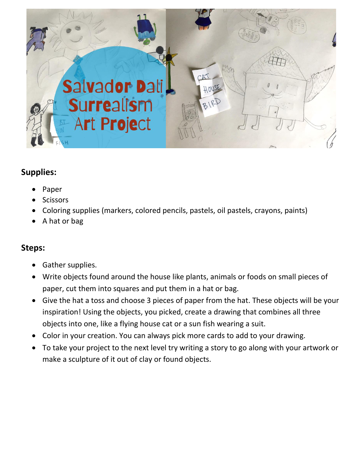

## **Supplies:**

- Paper
- **Scissors**
- Coloring supplies (markers, colored pencils, pastels, oil pastels, crayons, paints)
- A hat or bag

## **Steps:**

- Gather supplies.
- Write objects found around the house like plants, animals or foods on small pieces of paper, cut them into squares and put them in a hat or bag.
- Give the hat a toss and choose 3 pieces of paper from the hat. These objects will be your inspiration! Using the objects, you picked, create a drawing that combines all three objects into one, like a flying house cat or a sun fish wearing a suit.
- Color in your creation. You can always pick more cards to add to your drawing.
- To take your project to the next level try writing a story to go along with your artwork or make a sculpture of it out of clay or found objects.